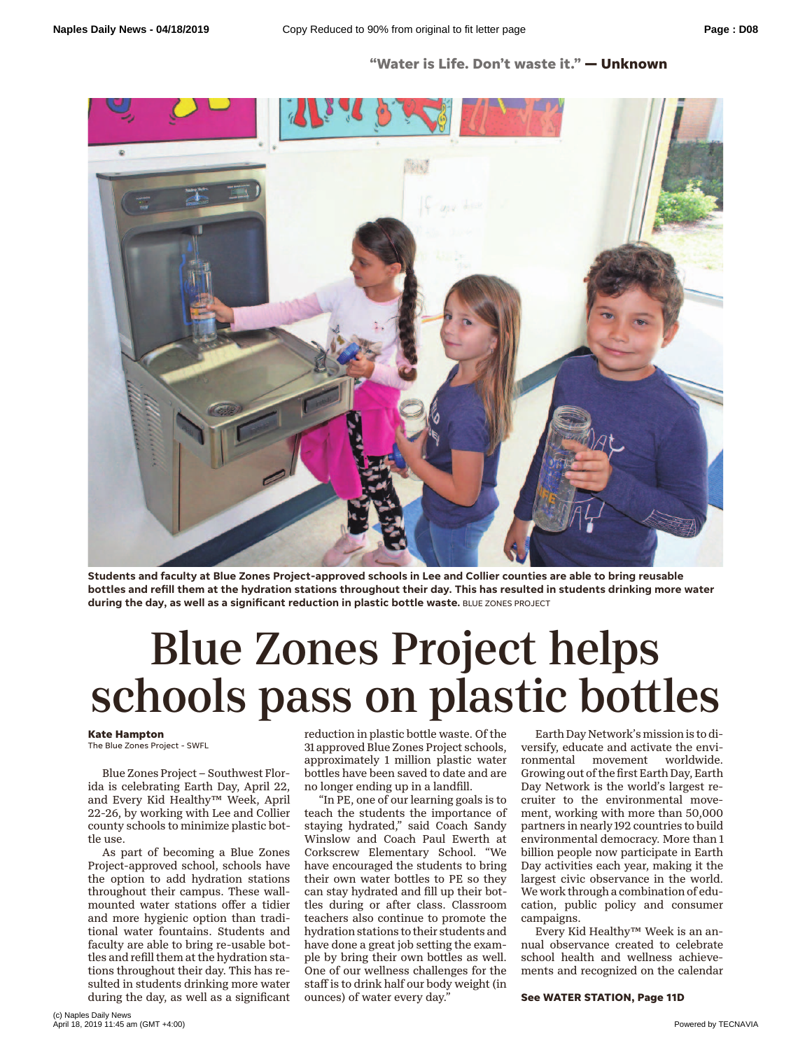## **"Water is Life. Don't waste it." — Unknown**



**Students and faculty at Blue Zones Project-approved schools in Lee and Collier counties are able to bring reusable bottles and refill them at the hydration stations throughout their day. This has resulted in students drinking more water during the day, as well as a significant reduction in plastic bottle waste.** BLUE ZONES PROJECT

## Blue Zones Project helps schools pass on plastic bottles

## **Kate Hampton**

The Blue Zones Project - SWFL

Blue Zones Project – Southwest Florida is celebrating Earth Day, April 22, and Every Kid Healthy™ Week, April 22-26, by working with Lee and Collier county schools to minimize plastic bottle use.

As part of becoming a Blue Zones Project-approved school, schools have the option to add hydration stations throughout their campus. These wallmounted water stations offer a tidier and more hygienic option than traditional water fountains. Students and faculty are able to bring re-usable bottles and refill them at the hydration stations throughout their day. This has resulted in students drinking more water during the day, as well as a significant

reduction in plastic bottle waste. Of the 31 approved Blue Zones Project schools, approximately 1 million plastic water bottles have been saved to date and are no longer ending up in a landfill.

"In PE, one of our learning goals is to teach the students the importance of staying hydrated," said Coach Sandy Winslow and Coach Paul Ewerth at Corkscrew Elementary School. "We have encouraged the students to bring their own water bottles to PE so they can stay hydrated and fill up their bottles during or after class. Classroom teachers also continue to promote the hydration stations to their students and have done a great job setting the example by bring their own bottles as well. One of our wellness challenges for the staff is to drink half our body weight (in ounces) of water every day."

Earth Day Network's mission is to diversify, educate and activate the environmental movement worldwide. ronmental movement Growing out of the first Earth Day, Earth Day Network is the world's largest recruiter to the environmental movement, working with more than 50,000 partners in nearly 192 countries to build environmental democracy. More than 1 billion people now participate in Earth Day activities each year, making it the largest civic observance in the world. We work through a combination of education, public policy and consumer campaigns.

Every Kid Healthy™ Week is an annual observance created to celebrate school health and wellness achievements and recognized on the calendar

**See WATER STATION, Page 11D**